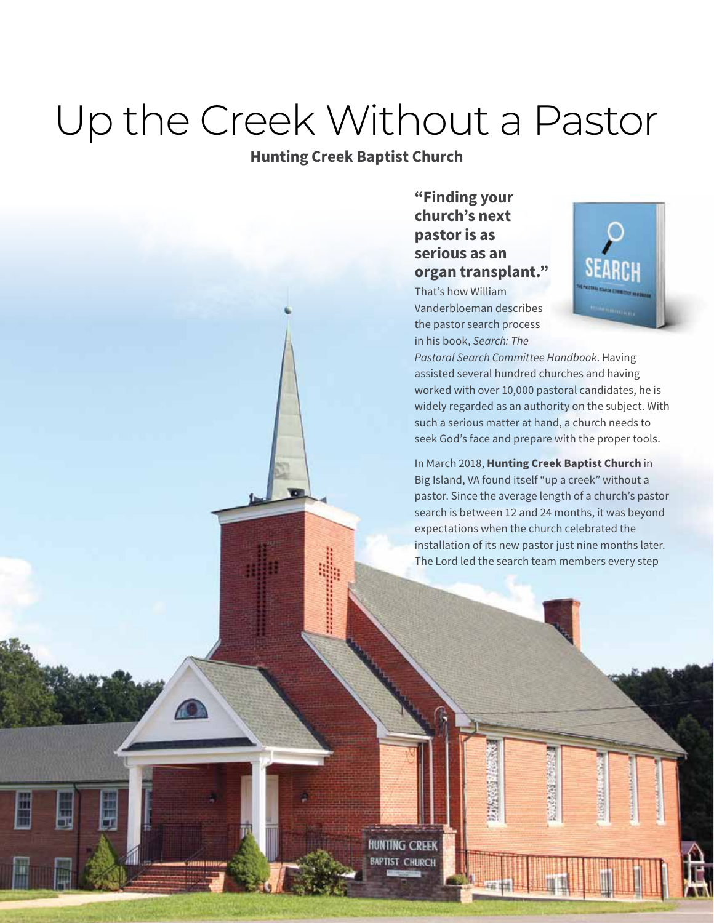# Up the Creek Without a Pastor

## **Hunting Creek Baptist Church**

### **"Finding your church's next pastor is as serious as an organ transplant."**

That's how William Vanderbloeman describes the pastor search process in his book, *Search: The* 



*Pastoral Search Committee Handbook*. Having assisted several hundred churches and having worked with over 10,000 pastoral candidates, he is widely regarded as an authority on the subject. With such a serious matter at hand, a church needs to seek God's face and prepare with the proper tools.

In March 2018, **Hunting Creek Baptist Church** in Big Island, VA found itself "up a creek" without a pastor. Since the average length of a church's pastor search is between 12 and 24 months, it was beyond expectations when the church celebrated the installation of its new pastor just nine months later. The Lord led the search team members every step

**CONTRACTOR** 

STATISTICS

**HUNTING CREEK BAPTIST CHURCH** 

O

Ë

Ę